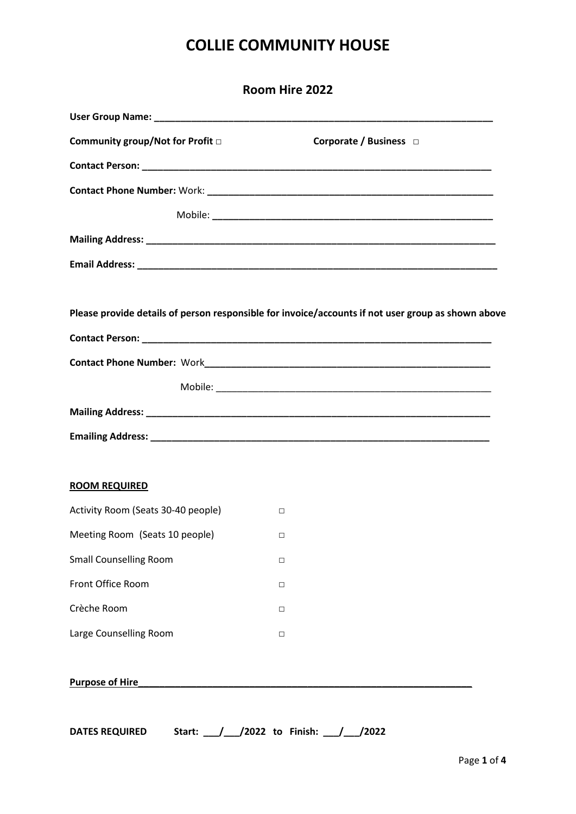| Room Hire 2022                     |                                                                                                    |  |
|------------------------------------|----------------------------------------------------------------------------------------------------|--|
|                                    |                                                                                                    |  |
| Community group/Not for Profit □   | Corporate / Business $\Box$                                                                        |  |
|                                    |                                                                                                    |  |
|                                    |                                                                                                    |  |
|                                    |                                                                                                    |  |
|                                    |                                                                                                    |  |
|                                    |                                                                                                    |  |
|                                    | Please provide details of person responsible for invoice/accounts if not user group as shown above |  |
|                                    |                                                                                                    |  |
|                                    |                                                                                                    |  |
|                                    |                                                                                                    |  |
|                                    |                                                                                                    |  |
| <b>ROOM REQUIRED</b>               |                                                                                                    |  |
|                                    |                                                                                                    |  |
| Activity Room (Seats 30-40 people) | $\Box$                                                                                             |  |
| Meeting Room (Seats 10 people)     | $\Box$                                                                                             |  |
| <b>Small Counselling Room</b>      | □                                                                                                  |  |
| Front Office Room                  | □                                                                                                  |  |
| Crèche Room                        | $\Box$                                                                                             |  |
| Large Counselling Room             | $\Box$                                                                                             |  |
| <b>Purpose of Hire</b>             |                                                                                                    |  |
|                                    |                                                                                                    |  |

**DATES REQUIRED Start: \_\_\_/\_\_\_/2022 to Finish: \_\_\_/\_\_\_/2022**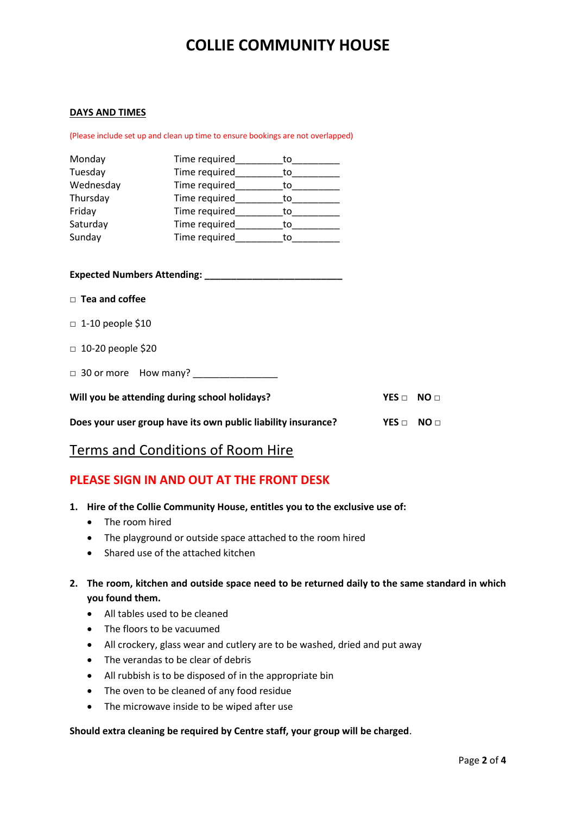#### **DAYS AND TIMES**

(Please include set up and clean up time to ensure bookings are not overlapped)

| Monday    | Time required | to |
|-----------|---------------|----|
| Tuesday   | Time required | tο |
| Wednesday | Time required | to |
| Thursday  | Time required | to |
| Friday    | Time required | to |
| Saturday  | Time required | tο |
| Sunday    | Time required | tο |

**Expected Numbers Attending: \_\_\_\_\_\_\_\_\_\_\_\_\_\_\_\_\_\_\_\_\_\_\_\_\_\_**

- □ **Tea and coffee**
- $\Box$  1-10 people \$10
- □ 10-20 people \$20

□ 30 or more How many? \_\_\_\_\_\_\_\_\_\_\_\_\_\_\_\_

| Will you be attending during school holidays? | YES NO |  |
|-----------------------------------------------|--------|--|
|                                               |        |  |

**Does your user group have its own public liability insurance? YES □ NO □**

### Terms and Conditions of Room Hire

#### **PLEASE SIGN IN AND OUT AT THE FRONT DESK**

- **1. Hire of the Collie Community House, entitles you to the exclusive use of:** 
	- The room hired
	- The playground or outside space attached to the room hired
	- Shared use of the attached kitchen
- **2. The room, kitchen and outside space need to be returned daily to the same standard in which you found them.**
	- All tables used to be cleaned
	- The floors to be vacuumed
	- All crockery, glass wear and cutlery are to be washed, dried and put away
	- The verandas to be clear of debris
	- All rubbish is to be disposed of in the appropriate bin
	- The oven to be cleaned of any food residue
	- The microwave inside to be wiped after use

#### **Should extra cleaning be required by Centre staff, your group will be charged**.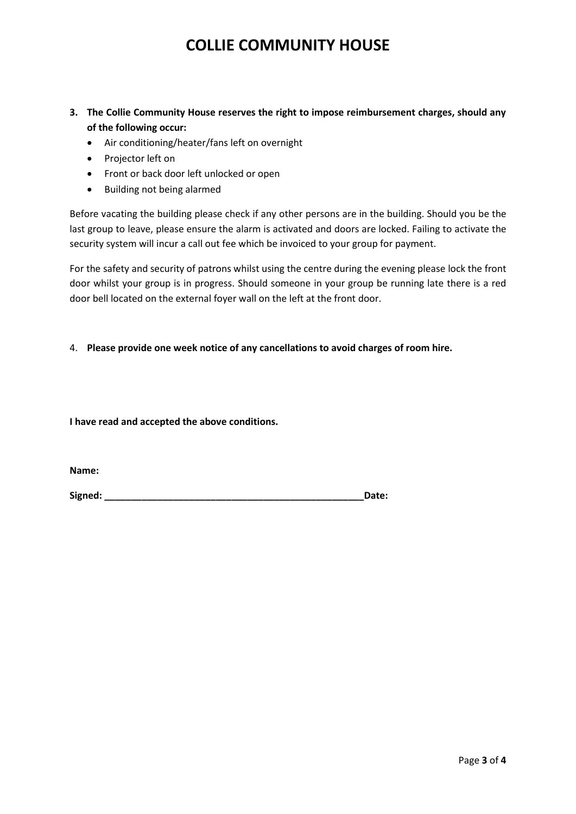- **3. The Collie Community House reserves the right to impose reimbursement charges, should any of the following occur:**
	- Air conditioning/heater/fans left on overnight
	- Projector left on
	- Front or back door left unlocked or open
	- Building not being alarmed

Before vacating the building please check if any other persons are in the building. Should you be the last group to leave, please ensure the alarm is activated and doors are locked. Failing to activate the security system will incur a call out fee which be invoiced to your group for payment.

For the safety and security of patrons whilst using the centre during the evening please lock the front door whilst your group is in progress. Should someone in your group be running late there is a red door bell located on the external foyer wall on the left at the front door.

#### 4. **Please provide one week notice of any cancellations to avoid charges of room hire.**

**I have read and accepted the above conditions.**

**Name:**

**Signed: \_\_\_\_\_\_\_\_\_\_\_\_\_\_\_\_\_\_\_\_\_\_\_\_\_\_\_\_\_\_\_\_\_\_\_\_\_\_\_\_\_\_\_\_\_\_\_\_\_Date:**